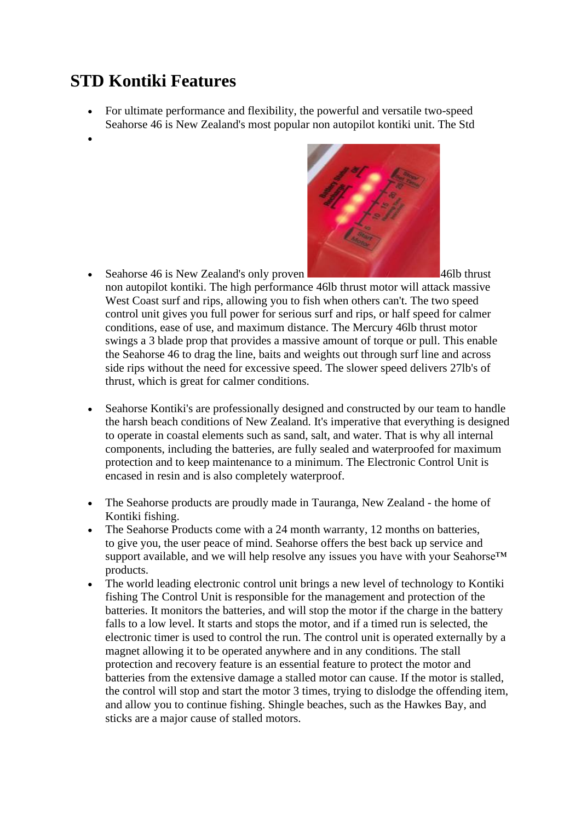## **STD Kontiki Features**

- For ultimate performance and flexibility, the powerful and versatile two-speed Seahorse 46 is New Zealand's most popular non autopilot kontiki unit. The Std
- •



- Seahorse 46 is New Zealand's only proven **1988 All the season of the season of the season of the season of the season of the season of the season of the season of the season of the season of the season of the season of** non autopilot kontiki. The high performance 46lb thrust motor will attack massive West Coast surf and rips, allowing you to fish when others can't. The two speed control unit gives you full power for serious surf and rips, or half speed for calmer conditions, ease of use, and maximum distance. The Mercury 46lb thrust motor swings a 3 blade prop that provides a massive amount of torque or pull. This enable the Seahorse 46 to drag the line, baits and weights out through surf line and across side rips without the need for excessive speed. The slower speed delivers 27lb's of thrust, which is great for calmer conditions.
- Seahorse Kontiki's are professionally designed and constructed by our team to handle the harsh beach conditions of New Zealand. It's imperative that everything is designed to operate in coastal elements such as sand, salt, and water. That is why all internal components, including the batteries, are fully sealed and waterproofed for maximum protection and to keep maintenance to a minimum. The Electronic Control Unit is encased in resin and is also completely waterproof.
- The Seahorse products are proudly made in Tauranga, New Zealand the home of Kontiki fishing.
- The Seahorse Products come with a 24 month warranty, 12 months on batteries, to give you, the user peace of mind. Seahorse offers the best back up service and support available, and we will help resolve any issues you have with your Seahorse™ products.
- The world leading electronic control unit brings a new level of technology to Kontiki fishing The Control Unit is responsible for the management and protection of the batteries. It monitors the batteries, and will stop the motor if the charge in the battery falls to a low level. It starts and stops the motor, and if a timed run is selected, the electronic timer is used to control the run. The control unit is operated externally by a magnet allowing it to be operated anywhere and in any conditions. The stall protection and recovery feature is an essential feature to protect the motor and batteries from the extensive damage a stalled motor can cause. If the motor is stalled, the control will stop and start the motor 3 times, trying to dislodge the offending item, and allow you to continue fishing. Shingle beaches, such as the Hawkes Bay, and sticks are a major cause of stalled motors.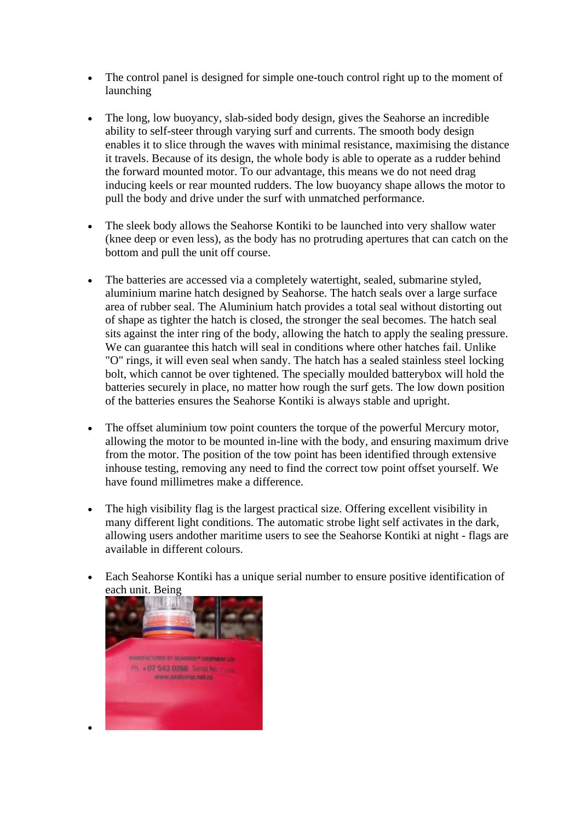- The control panel is designed for simple one-touch control right up to the moment of launching
- The long, low buoyancy, slab-sided body design, gives the Seahorse an incredible ability to self-steer through varying surf and currents. The smooth body design enables it to slice through the waves with minimal resistance, maximising the distance it travels. Because of its design, the whole body is able to operate as a rudder behind the forward mounted motor. To our advantage, this means we do not need drag inducing keels or rear mounted rudders. The low buoyancy shape allows the motor to pull the body and drive under the surf with unmatched performance.
- The sleek body allows the Seahorse Kontiki to be launched into very shallow water (knee deep or even less), as the body has no protruding apertures that can catch on the bottom and pull the unit off course.
- The batteries are accessed via a completely watertight, sealed, submarine styled, aluminium marine hatch designed by Seahorse. The hatch seals over a large surface area of rubber seal. The Aluminium hatch provides a total seal without distorting out of shape as tighter the hatch is closed, the stronger the seal becomes. The hatch seal sits against the inter ring of the body, allowing the hatch to apply the sealing pressure. We can guarantee this hatch will seal in conditions where other hatches fail. Unlike "O" rings, it will even seal when sandy. The hatch has a sealed stainless steel locking bolt, which cannot be over tightened. The specially moulded batterybox will hold the batteries securely in place, no matter how rough the surf gets. The low down position of the batteries ensures the Seahorse Kontiki is always stable and upright.
- The offset aluminium tow point counters the torque of the powerful Mercury motor, allowing the motor to be mounted in-line with the body, and ensuring maximum drive from the motor. The position of the tow point has been identified through extensive inhouse testing, removing any need to find the correct tow point offset yourself. We have found millimetres make a difference.
- The high visibility flag is the largest practical size. Offering excellent visibility in many different light conditions. The automatic strobe light self activates in the dark, allowing users andother maritime users to see the Seahorse Kontiki at night - flags are available in different colours.
- Each Seahorse Kontiki has a unique serial number to ensure positive identification of each unit. Being



•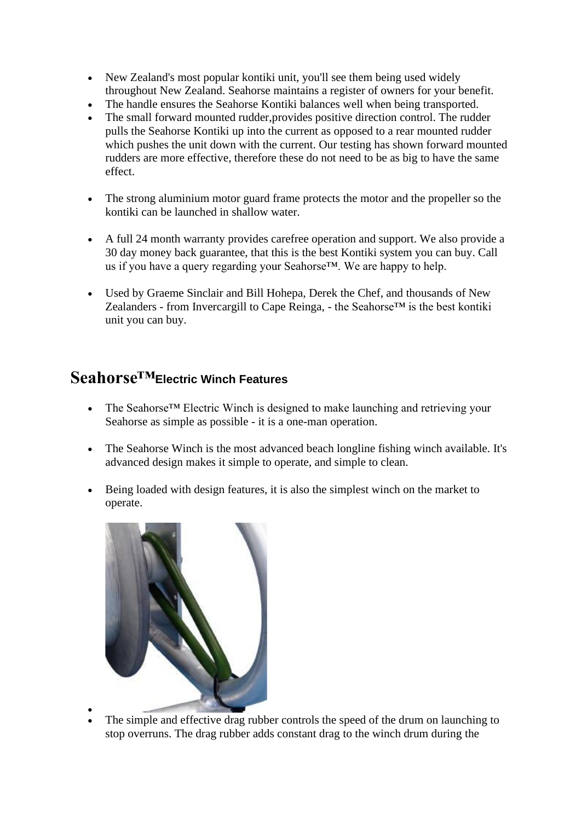- New Zealand's most popular kontiki unit, you'll see them being used widely throughout New Zealand. Seahorse maintains a register of owners for your benefit.
- The handle ensures the Seahorse Kontiki balances well when being transported.
- The small forward mounted rudder, provides positive direction control. The rudder pulls the Seahorse Kontiki up into the current as opposed to a rear mounted rudder which pushes the unit down with the current. Our testing has shown forward mounted rudders are more effective, therefore these do not need to be as big to have the same effect.
- The strong aluminium motor guard frame protects the motor and the propeller so the kontiki can be launched in shallow water.
- A full 24 month warranty provides carefree operation and support. We also provide a 30 day money back guarantee, that this is the best Kontiki system you can buy. Call us if you have a query regarding your Seahorse™. We are happy to help.
- Used by Graeme Sinclair and Bill Hohepa, Derek the Chef, and thousands of New Zealanders - from Invercargill to Cape Reinga, - the Seahorse™ is the best kontiki unit you can buy.

## **Seahorse™Electric Winch Features**

- The Seahorse<sup>TM</sup> Electric Winch is designed to make launching and retrieving your Seahorse as simple as possible - it is a one-man operation.
- The Seahorse Winch is the most advanced beach longline fishing winch available. It's advanced design makes it simple to operate, and simple to clean.
- Being loaded with design features, it is also the simplest winch on the market to operate.



• The simple and effective drag rubber controls the speed of the drum on launching to stop overruns. The drag rubber adds constant drag to the winch drum during the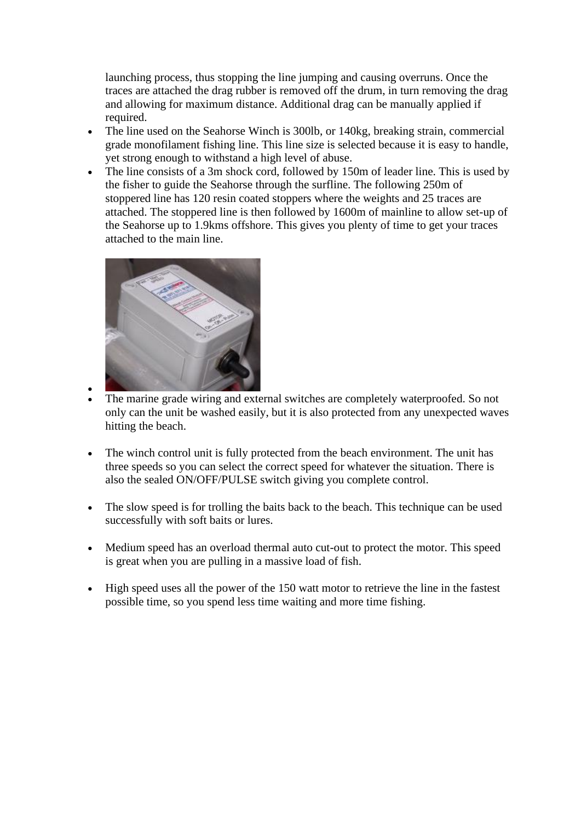launching process, thus stopping the line jumping and causing overruns. Once the traces are attached the drag rubber is removed off the drum, in turn removing the drag and allowing for maximum distance. Additional drag can be manually applied if required.

- The line used on the Seahorse Winch is 300lb, or 140kg, breaking strain, commercial grade monofilament fishing line. This line size is selected because it is easy to handle, yet strong enough to withstand a high level of abuse.
- The line consists of a 3m shock cord, followed by 150m of leader line. This is used by the fisher to guide the Seahorse through the surfline. The following 250m of stoppered line has 120 resin coated stoppers where the weights and 25 traces are attached. The stoppered line is then followed by 1600m of mainline to allow set-up of the Seahorse up to 1.9kms offshore. This gives you plenty of time to get your traces attached to the main line.



- - The marine grade wiring and external switches are completely waterproofed. So not only can the unit be washed easily, but it is also protected from any unexpected waves hitting the beach.
- The winch control unit is fully protected from the beach environment. The unit has three speeds so you can select the correct speed for whatever the situation. There is also the sealed ON/OFF/PULSE switch giving you complete control.
- The slow speed is for trolling the baits back to the beach. This technique can be used successfully with soft baits or lures.
- Medium speed has an overload thermal auto cut-out to protect the motor. This speed is great when you are pulling in a massive load of fish.
- High speed uses all the power of the 150 watt motor to retrieve the line in the fastest possible time, so you spend less time waiting and more time fishing.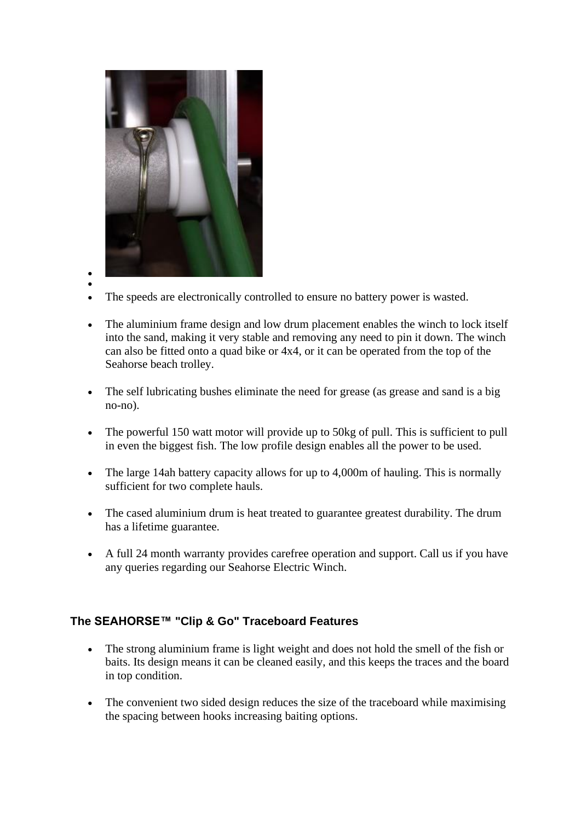

- •
	- The speeds are electronically controlled to ensure no battery power is wasted.
- The aluminium frame design and low drum placement enables the winch to lock itself into the sand, making it very stable and removing any need to pin it down. The winch can also be fitted onto a quad bike or 4x4, or it can be operated from the top of the Seahorse beach trolley.
- The self lubricating bushes eliminate the need for grease (as grease and sand is a big no-no).
- The powerful 150 watt motor will provide up to 50kg of pull. This is sufficient to pull in even the biggest fish. The low profile design enables all the power to be used.
- The large 14ah battery capacity allows for up to 4,000m of hauling. This is normally sufficient for two complete hauls.
- The cased aluminium drum is heat treated to guarantee greatest durability. The drum has a lifetime guarantee.
- A full 24 month warranty provides carefree operation and support. Call us if you have any queries regarding our Seahorse Electric Winch.

## **The SEAHORSE™ "Clip & Go" Traceboard Features**

- The strong aluminium frame is light weight and does not hold the smell of the fish or baits. Its design means it can be cleaned easily, and this keeps the traces and the board in top condition.
- The convenient two sided design reduces the size of the traceboard while maximising the spacing between hooks increasing baiting options.